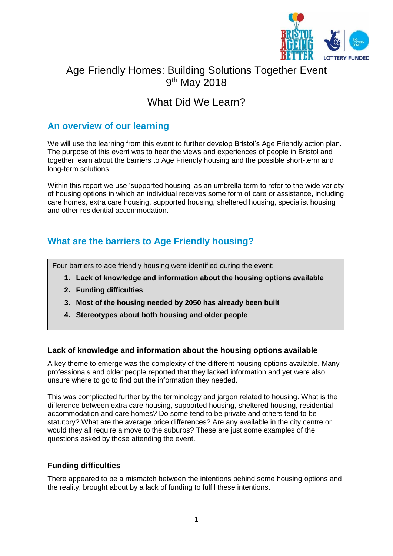

# Age Friendly Homes: Building Solutions Together Event 9<sup>th</sup> May 2018

# What Did We Learn?

### **An overview of our learning**

We will use the learning from this event to further develop Bristol's Age Friendly action plan. The purpose of this event was to hear the views and experiences of people in Bristol and together learn about the barriers to Age Friendly housing and the possible short-term and long-term solutions.

Within this report we use 'supported housing' as an umbrella term to refer to the wide variety of housing options in which an individual receives some form of care or assistance, including care homes, extra care housing, supported housing, sheltered housing, specialist housing and other residential accommodation.

## **What are the barriers to Age Friendly housing?**

Four barriers to age friendly housing were identified during the event:

- **1. Lack of knowledge and information about the housing options available**
- **2. Funding difficulties**
- **3. Most of the housing needed by 2050 has already been built**
- **4. Stereotypes about both housing and older people**

#### **Lack of knowledge and information about the housing options available**

A key theme to emerge was the complexity of the different housing options available. Many professionals and older people reported that they lacked information and yet were also unsure where to go to find out the information they needed.

This was complicated further by the terminology and jargon related to housing. What is the difference between extra care housing, supported housing, sheltered housing, residential accommodation and care homes? Do some tend to be private and others tend to be statutory? What are the average price differences? Are any available in the city centre or would they all require a move to the suburbs? These are just some examples of the questions asked by those attending the event.

#### **Funding difficulties**

There appeared to be a mismatch between the intentions behind some housing options and the reality, brought about by a lack of funding to fulfil these intentions.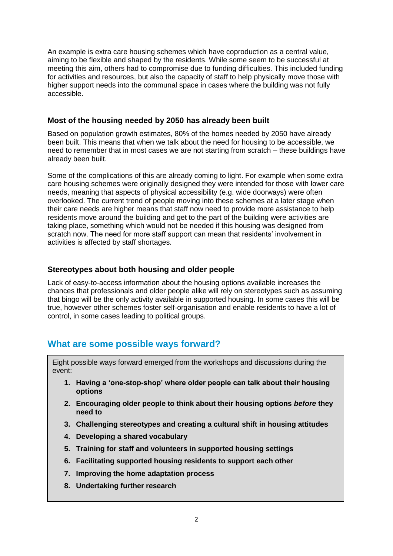An example is extra care housing schemes which have coproduction as a central value, aiming to be flexible and shaped by the residents. While some seem to be successful at meeting this aim, others had to compromise due to funding difficulties. This included funding for activities and resources, but also the capacity of staff to help physically move those with higher support needs into the communal space in cases where the building was not fully accessible.

#### **Most of the housing needed by 2050 has already been built**

Based on population growth estimates, 80% of the homes needed by 2050 have already been built. This means that when we talk about the need for housing to be accessible, we need to remember that in most cases we are not starting from scratch – these buildings have already been built.

Some of the complications of this are already coming to light. For example when some extra care housing schemes were originally designed they were intended for those with lower care needs, meaning that aspects of physical accessibility (e.g. wide doorways) were often overlooked. The current trend of people moving into these schemes at a later stage when their care needs are higher means that staff now need to provide more assistance to help residents move around the building and get to the part of the building were activities are taking place, something which would not be needed if this housing was designed from scratch now. The need for more staff support can mean that residents' involvement in activities is affected by staff shortages.

#### **Stereotypes about both housing and older people**

Lack of easy-to-access information about the housing options available increases the chances that professionals and older people alike will rely on stereotypes such as assuming that bingo will be the only activity available in supported housing. In some cases this will be true, however other schemes foster self-organisation and enable residents to have a lot of control, in some cases leading to political groups.

## **What are some possible ways forward?**

Eight possible ways forward emerged from the workshops and discussions during the event:

- **1. Having a 'one-stop-shop' where older people can talk about their housing options**
- **2. Encouraging older people to think about their housing options** *before* **they need to**
- **3. Challenging stereotypes and creating a cultural shift in housing attitudes**
- **4. Developing a shared vocabulary**
- **5. Training for staff and volunteers in supported housing settings**
- **6. Facilitating supported housing residents to support each other**
- **7. Improving the home adaptation process**
- **8. Undertaking further research**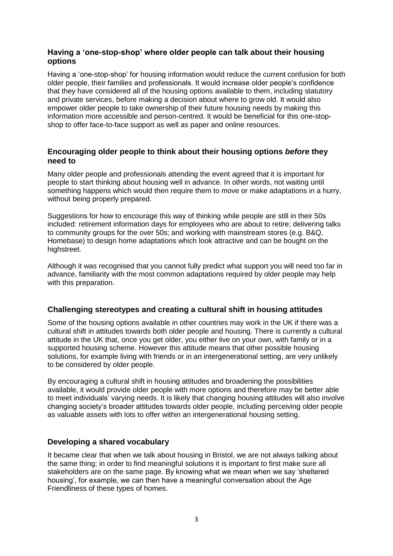#### **Having a 'one-stop-shop' where older people can talk about their housing options**

Having a 'one-stop-shop' for housing information would reduce the current confusion for both older people, their families and professionals. It would increase older people's confidence that they have considered all of the housing options available to them, including statutory and private services, before making a decision about where to grow old. It would also empower older people to take ownership of their future housing needs by making this information more accessible and person-centred. It would be beneficial for this one-stopshop to offer face-to-face support as well as paper and online resources.

#### **Encouraging older people to think about their housing options** *before* **they need to**

Many older people and professionals attending the event agreed that it is important for people to start thinking about housing well in advance. In other words, not waiting until something happens which would then require them to move or make adaptations in a hurry, without being properly prepared.

Suggestions for how to encourage this way of thinking while people are still in their 50s included: retirement information days for employees who are about to retire; delivering talks to community groups for the over 50s; and working with mainstream stores (e.g. B&Q, Homebase) to design home adaptations which look attractive and can be bought on the highstreet.

Although it was recognised that you cannot fully predict what support you will need too far in advance, familiarity with the most common adaptations required by older people may help with this preparation.

#### **Challenging stereotypes and creating a cultural shift in housing attitudes**

Some of the housing options available in other countries may work in the UK if there was a cultural shift in attitudes towards both older people and housing. There is currently a cultural attitude in the UK that, once you get older, you either live on your own, with family or in a supported housing scheme. However this attitude means that other possible housing solutions, for example living with friends or in an intergenerational setting, are very unlikely to be considered by older people.

By encouraging a cultural shift in housing attitudes and broadening the possibilities available, it would provide older people with more options and therefore may be better able to meet individuals' varying needs. It is likely that changing housing attitudes will also involve changing society's broader attitudes towards older people, including perceiving older people as valuable assets with lots to offer within an intergenerational housing setting.

#### **Developing a shared vocabulary**

It became clear that when we talk about housing in Bristol, we are not always talking about the same thing; in order to find meaningful solutions it is important to first make sure all stakeholders are on the same page. By knowing what we mean when we say 'sheltered housing', for example, we can then have a meaningful conversation about the Age Friendliness of these types of homes.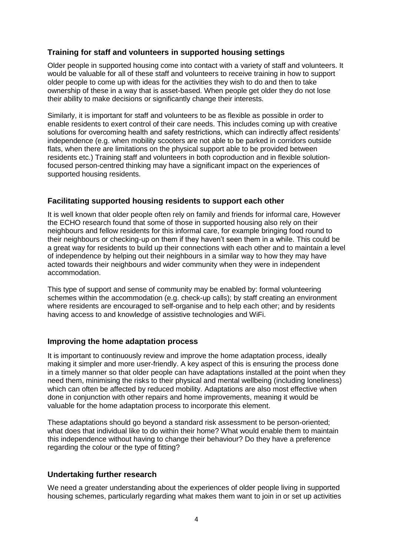#### **Training for staff and volunteers in supported housing settings**

Older people in supported housing come into contact with a variety of staff and volunteers. It would be valuable for all of these staff and volunteers to receive training in how to support older people to come up with ideas for the activities they wish to do and then to take ownership of these in a way that is asset-based. When people get older they do not lose their ability to make decisions or significantly change their interests.

Similarly, it is important for staff and volunteers to be as flexible as possible in order to enable residents to exert control of their care needs. This includes coming up with creative solutions for overcoming health and safety restrictions, which can indirectly affect residents' independence (e.g. when mobility scooters are not able to be parked in corridors outside flats, when there are limitations on the physical support able to be provided between residents etc.) Training staff and volunteers in both coproduction and in flexible solutionfocused person-centred thinking may have a significant impact on the experiences of supported housing residents.

#### **Facilitating supported housing residents to support each other**

It is well known that older people often rely on family and friends for informal care, However the ECHO research found that some of those in supported housing also rely on their neighbours and fellow residents for this informal care, for example bringing food round to their neighbours or checking-up on them if they haven't seen them in a while. This could be a great way for residents to build up their connections with each other and to maintain a level of independence by helping out their neighbours in a similar way to how they may have acted towards their neighbours and wider community when they were in independent accommodation.

This type of support and sense of community may be enabled by: formal volunteering schemes within the accommodation (e.g. check-up calls); by staff creating an environment where residents are encouraged to self-organise and to help each other; and by residents having access to and knowledge of assistive technologies and WiFi.

#### **Improving the home adaptation process**

It is important to continuously review and improve the home adaptation process, ideally making it simpler and more user-friendly. A key aspect of this is ensuring the process done in a timely manner so that older people can have adaptations installed at the point when they need them, minimising the risks to their physical and mental wellbeing (including loneliness) which can often be affected by reduced mobility. Adaptations are also most effective when done in conjunction with other repairs and home improvements, meaning it would be valuable for the home adaptation process to incorporate this element.

These adaptations should go beyond a standard risk assessment to be person-oriented; what does that individual like to do within their home? What would enable them to maintain this independence without having to change their behaviour? Do they have a preference regarding the colour or the type of fitting?

#### **Undertaking further research**

We need a greater understanding about the experiences of older people living in supported housing schemes, particularly regarding what makes them want to join in or set up activities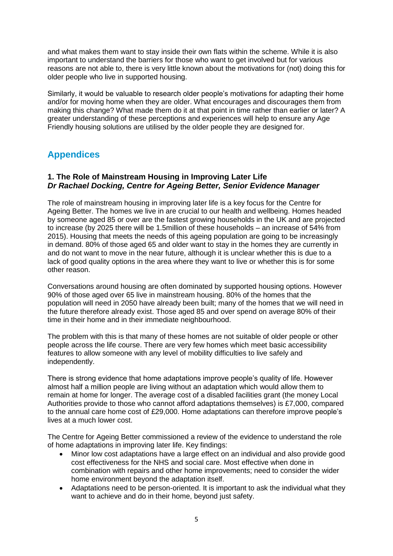and what makes them want to stay inside their own flats within the scheme. While it is also important to understand the barriers for those who want to get involved but for various reasons are not able to, there is very little known about the motivations for (not) doing this for older people who live in supported housing.

Similarly, it would be valuable to research older people's motivations for adapting their home and/or for moving home when they are older. What encourages and discourages them from making this change? What made them do it at that point in time rather than earlier or later? A greater understanding of these perceptions and experiences will help to ensure any Age Friendly housing solutions are utilised by the older people they are designed for.

### **Appendices**

#### **1. The Role of Mainstream Housing in Improving Later Life** *Dr Rachael Docking, Centre for Ageing Better, Senior Evidence Manager*

The role of mainstream housing in improving later life is a key focus for the Centre for Ageing Better. The homes we live in are crucial to our health and wellbeing. Homes headed by someone aged 85 or over are the fastest growing households in the UK and are projected to increase (by 2025 there will be 1.5million of these households – an increase of 54% from 2015). Housing that meets the needs of this ageing population are going to be increasingly in demand. 80% of those aged 65 and older want to stay in the homes they are currently in and do not want to move in the near future, although it is unclear whether this is due to a lack of good quality options in the area where they want to live or whether this is for some other reason.

Conversations around housing are often dominated by supported housing options. However 90% of those aged over 65 live in mainstream housing. 80% of the homes that the population will need in 2050 have already been built; many of the homes that we will need in the future therefore already exist. Those aged 85 and over spend on average 80% of their time in their home and in their immediate neighbourhood.

The problem with this is that many of these homes are not suitable of older people or other people across the life course. There are very few homes which meet basic accessibility features to allow someone with any level of mobility difficulties to live safely and independently.

There is strong evidence that home adaptations improve people's quality of life. However almost half a million people are living without an adaptation which would allow them to remain at home for longer. The average cost of a disabled facilities grant (the money Local Authorities provide to those who cannot afford adaptations themselves) is £7,000, compared to the annual care home cost of £29,000. Home adaptations can therefore improve people's lives at a much lower cost.

The Centre for Ageing Better commissioned a review of the evidence to understand the role of home adaptations in improving later life. Key findings:

- Minor low cost adaptations have a large effect on an individual and also provide good cost effectiveness for the NHS and social care. Most effective when done in combination with repairs and other home improvements; need to consider the wider home environment beyond the adaptation itself.
- Adaptations need to be person-oriented. It is important to ask the individual what they want to achieve and do in their home, beyond just safety.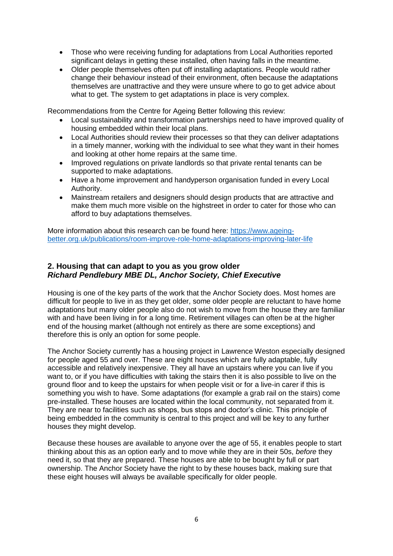- Those who were receiving funding for adaptations from Local Authorities reported significant delays in getting these installed, often having falls in the meantime.
- Older people themselves often put off installing adaptations. People would rather change their behaviour instead of their environment, often because the adaptations themselves are unattractive and they were unsure where to go to get advice about what to get. The system to get adaptations in place is very complex.

Recommendations from the Centre for Ageing Better following this review:

- Local sustainability and transformation partnerships need to have improved quality of housing embedded within their local plans.
- Local Authorities should review their processes so that they can deliver adaptations in a timely manner, working with the individual to see what they want in their homes and looking at other home repairs at the same time.
- Improved regulations on private landlords so that private rental tenants can be supported to make adaptations.
- Have a home improvement and handyperson organisation funded in every Local Authority.
- Mainstream retailers and designers should design products that are attractive and make them much more visible on the highstreet in order to cater for those who can afford to buy adaptations themselves.

More information about this research can be found here: [https://www.ageing](https://www.ageing-better.org.uk/publications/room-improve-role-home-adaptations-improving-later-life)[better.org.uk/publications/room-improve-role-home-adaptations-improving-later-life](https://www.ageing-better.org.uk/publications/room-improve-role-home-adaptations-improving-later-life)

#### **2. Housing that can adapt to you as you grow older** *Richard Pendlebury MBE DL, Anchor Society, Chief Executive*

Housing is one of the key parts of the work that the Anchor Society does. Most homes are difficult for people to live in as they get older, some older people are reluctant to have home adaptations but many older people also do not wish to move from the house they are familiar with and have been living in for a long time. Retirement villages can often be at the higher end of the housing market (although not entirely as there are some exceptions) and therefore this is only an option for some people.

The Anchor Society currently has a housing project in Lawrence Weston especially designed for people aged 55 and over. These are eight houses which are fully adaptable, fully accessible and relatively inexpensive. They all have an upstairs where you can live if you want to, or if you have difficulties with taking the stairs then it is also possible to live on the ground floor and to keep the upstairs for when people visit or for a live-in carer if this is something you wish to have. Some adaptations (for example a grab rail on the stairs) come pre-installed. These houses are located within the local community, not separated from it. They are near to facilities such as shops, bus stops and doctor's clinic. This principle of being embedded in the community is central to this project and will be key to any further houses they might develop.

Because these houses are available to anyone over the age of 55, it enables people to start thinking about this as an option early and to move while they are in their 50s, *before* they need it, so that they are prepared. These houses are able to be bought by full or part ownership. The Anchor Society have the right to by these houses back, making sure that these eight houses will always be available specifically for older people.